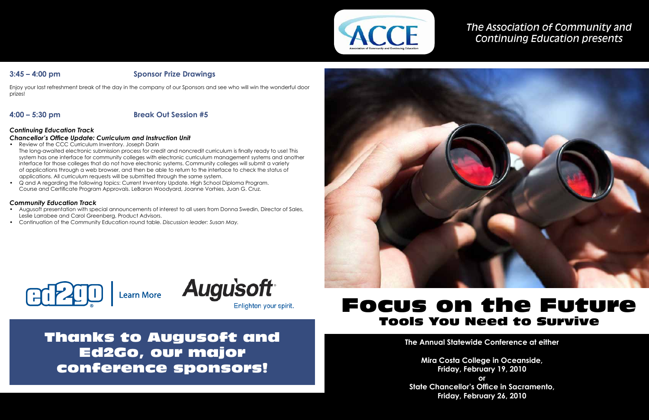# *The Association of Community and Continuing Education presents*

# Focus on the Future Tools You Need to Survive

**The Annual Statewide Conference at either**

**Mira Costa College in Oceanside, State Chancellor's Office in Sacramento,** 

**Friday, February 19, 2010 or Friday, February 26, 2010**



## **3:45 – 4:00 pm Sponsor Prize Drawings**

Enjoy your last refreshment break of the day in the company of our Sponsors and see who will win the wonderful door prizes!

# **4:00 – 5:30 pm Break Out Session #5**

### *Continuing Education Track*

### *Chancellor's Office Update: Curriculum and Instruction Unit*

- Review of the CCC Curriculum Inventory. Joseph Darin The long-awaited electronic submission process for credit and noncredit curriculum is finally ready to use! This system has one interface for community colleges with electronic curriculum management systems and another interface for those colleges that do not have electronic systems. Community colleges will submit a variety of applications through a web browser, and then be able to return to the interface to check the status of applications. All curriculum requests will be submitted through the same system.
- Q and A regarding the following topics: Current Inventory Update. High School Diploma Program. Course and Certificate Program Approvals. LeBaron Woodyard, Joanne Vorhies, Juan G. Cruz.

### *Community Education Track*

- Augusoft presentation with special announcements of interest to all users from Donna Swedin, Director of Sales, Leslie Larrabee and Carol Greenberg, Product Advisors.
- Continuation of the Community Education round table. *Discussion leader: Susan May.*



Learn More **Augu's oft** 

Enlighten your spirit.

Thanks to Augusoft and Ed2Go, our major conference sponsors!

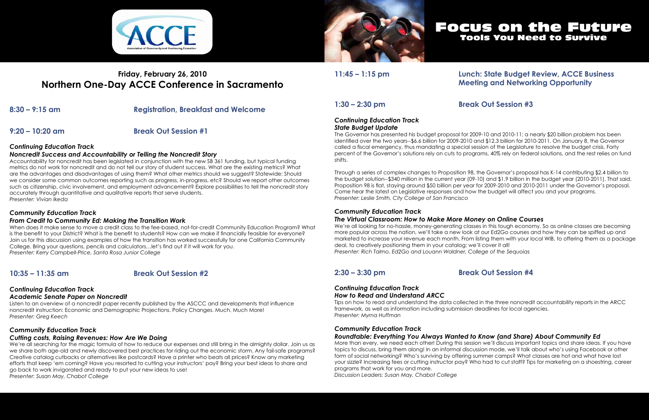

# **Friday, February 26, 2010 Northern One-Day ACCE Conference in Sacramento**

**8:30 – 9:15 am Registration, Breakfast and Welcome**

**9:20 – 10:20 am Break Out Session #1**

### *Continuing Education Track*

### *Noncredit Success and Accountability or Telling the Noncredit Story*

Accountability for noncredit has been legislated in conjunction with the new SB 361 funding, but typical funding metrics do not work for noncredit and do not tell our story of student success. What are the existing metrics? What are the advantages and disadvantages of using them? What other metrics should we suggest? Statewide: Should we consider some common outcomes reporting such as progress, in-progress, etc? Should we report other outcomes such as citizenship, civic involvement, and employment advancement? Explore possibilities to tell the noncredit story accurately through quantitative and qualitative reports that serve students. *Presenter: Vivian Ikeda*

### *Community Education Track*

### *From Credit to Community Ed: Making the Transition Work*

When does it make sense to move a credit class to the fee-based, not-for-credit Community Education Program? What is the benefit to your District? What is the benefit to students? How can we make if financially feasible for everyone? Join us for this discussion using examples of how the transition has worked successfully for one California Community College. Bring your questions, pencils and calculators…let's find out if it will work for you. *Presenter: Kerry Campbell-Price, Santa Rosa Junior College*

## **10:35 – 11:35 am Break Out Session #2**

# *Continuing Education Track*

### *Academic Senate Paper on Noncredit*

Listen to an overview of a noncredit paper recently published by the ASCCC and developments that influence noncredit instruction: Economic and Demographic Projections. Policy Changes. Much, Much More! *Presenter: Greg Keech*

### *Community Education Track*

### *Cutting costs, Raising Revenues: How Are We Doing*

We're all searching for the magic formula of how to reduce our expenses and still bring in the almighty dollar. Join us as we share both age-old and newly discovered best practices for riding out the economic storm. Any fail-safe programs? Creative catalog cutbacks or alternatives like postcards? Have a printer who beats all prices? Know any marketing efforts that keep 'em coming? Have you resorted to cutting your instructors' pay? Bring your best ideas to share and go back to work invigorated and ready to put your new ideas to use! *Presenter: Susan May, Chabot College*



## **11:45 – 1:15 pm Lunch: State Budget Review, ACCE Business Meeting and Networking Opportunity**

# **1:30 – 2:30 pm Break Out Session #3**

### *Continuing Education Track State Budget Update*

The Governor has presented his budget proposal for 2009-10 and 2010-11; a nearly \$20 billion problem has been identified over the two years--\$6.6 billion for 2009-2010 and \$12.3 billion for 2010-2011. On January 8, the Governor called a fiscal emergency, thus mandating a special session of the Legislature to resolve the budget crisis. Forty percent of the Governor's solutions rely on cuts to programs, 40% rely on federal solutions, and the rest relies on fund shifts.

Through a series of complex changes to Proposition 98, the Governor's proposal has K-14 contributing \$2.4 billion to the budget solution--\$340 million in the current year (09-10) and \$1.9 billion in the budget year (2010-2011). That said, Proposition 98 is flat, staying around \$50 billion per year for 2009-2010 and 2010-2011 under the Governor's proposal. Come hear the latest on Legislative responses and how the budget will affect you and your programs. *Presenter: Leslie Smith, City College of San Francisco*

### *Community Education Track*

### *The Virtual Classroom: How to Make More Money on Online Courses*

We're all looking for no-hassle, money-generating classes in this tough economy. So as online classes are becoming more popular across the nation, we'll take a new look at our Ed2Go courses and how they can be spiffed up and marketed to increase your revenue each month. From listing them with your local WIB, to offering them as a package deal, to creatively positioning them in your catalog; we'll cover it all! *Presenter: Rich Talmo, Ed2Go and Louann Waldner, College of the Sequoias*

## **2:30 – 3:30 pm Break Out Session #4**

### *Continuing Education Track How to Read and Understand ARCC*

Tips on how to read and understand the data collected in the three noncredit accountability reports in the ARCC framework, as well as information including submission deadlines for local agencies. *Presenter: Myrna Huffman*

### *Community Education Track Roundtable: Everything You Always Wanted to Know (and Share) About Community Ed*

More than every, we need each other! During this session we'll discuss important topics and share ideas. If you have topics to discuss, bring them along! In an informal discussion mode, we'll talk about who's using Facebook or other form of social networking? Who's surviving by offering summer camps? What classes are hot and what have lost your sizzle? Increasing fees or cutting instructor pay? Who had to cut staff? Tips for marketing on a shoestring, career programs that work for you and more.

*Discussion Leaders: Susan May, Chabot College*

# Focus on the Future Tools You Need to Survive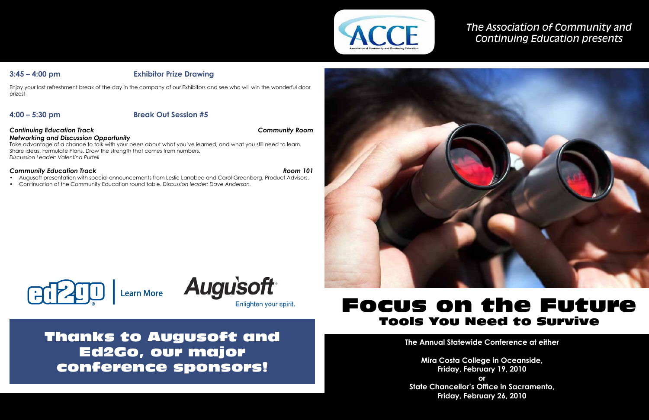# *The Association of Community and Continuing Education presents*

# Focus on the Future Tools You Need to Survive

**The Annual Statewide Conference at either**

**Mira Costa College in Oceanside, State Chancellor's Office in Sacramento,** 

**Friday, February 19, 2010 or Friday, February 26, 2010**



## **3:45 – 4:00 pm Exhibitor Prize Drawing**

Enjoy your last refreshment break of the day in the company of our Exhibitors and see who will win the wonderful door prizes!

## **4:00 – 5:30 pm Break Out Session #5**

### *Continuing Education Track Community Room*

*Networking and Discussion Opportunity* Take advantage of a chance to talk with your peers about what you've learned, and what you still need to learn. Share ideas. Formulate Plans. Draw the strength that comes from numbers.

*Discussion Leader: Valentina Purtell*

### *Community Education Track Room 101*

- Augusoft presentation with special announcements from Leslie Larrabee and Carol Greenberg, Product Advisors.
- Continuation of the Community Education round table. *Discussion leader: Dave Anderson.*



Enlighten your spirit.

Thanks to Augusoft and Ed2Go, our major conference sponsors!